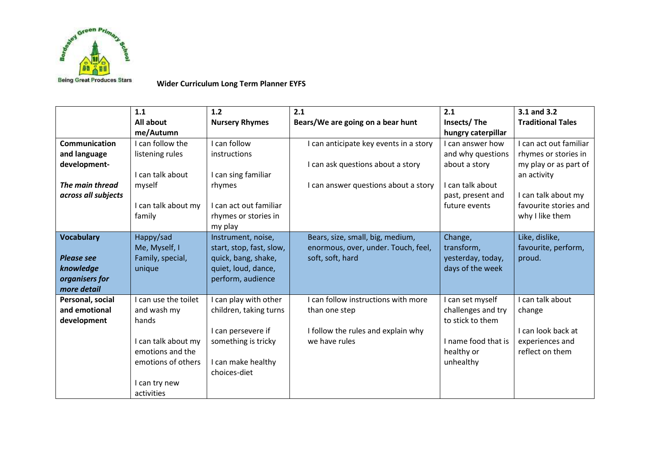

**Wider Curriculum Long Term Planner EYFS**

|                                                                                                | 1.1<br>All about                                                                                                                             | 1.2<br><b>Nursery Rhymes</b>                                                                                                       | 2.1<br>Bears/We are going on a bear hunt                                                                            | 2.1<br>Insects/The                                                                                                                     | 3.1 and 3.2<br><b>Traditional Tales</b>                                                                                                                   |
|------------------------------------------------------------------------------------------------|----------------------------------------------------------------------------------------------------------------------------------------------|------------------------------------------------------------------------------------------------------------------------------------|---------------------------------------------------------------------------------------------------------------------|----------------------------------------------------------------------------------------------------------------------------------------|-----------------------------------------------------------------------------------------------------------------------------------------------------------|
| <b>Communication</b><br>and language<br>development-<br>The main thread<br>across all subjects | me/Autumn<br>I can follow the<br>listening rules<br>I can talk about<br>myself<br>I can talk about my<br>family                              | I can follow<br>instructions<br>I can sing familiar<br>rhymes<br>I can act out familiar<br>rhymes or stories in<br>my play         | I can anticipate key events in a story<br>I can ask questions about a story<br>I can answer questions about a story | hungry caterpillar<br>I can answer how<br>and why questions<br>about a story<br>I can talk about<br>past, present and<br>future events | I can act out familiar<br>rhymes or stories in<br>my play or as part of<br>an activity<br>I can talk about my<br>favourite stories and<br>why I like them |
| <b>Vocabulary</b><br><b>Please see</b><br>knowledge<br>organisers for<br>more detail           | Happy/sad<br>Me, Myself, I<br>Family, special,<br>unique                                                                                     | Instrument, noise,<br>start, stop, fast, slow,<br>quick, bang, shake,<br>quiet, loud, dance,<br>perform, audience                  | Bears, size, small, big, medium,<br>enormous, over, under. Touch, feel,<br>soft, soft, hard                         | Change,<br>transform,<br>yesterday, today,<br>days of the week                                                                         | Like, dislike,<br>favourite, perform,<br>proud.                                                                                                           |
| Personal, social<br>and emotional<br>development                                               | I can use the toilet<br>and wash my<br>hands<br>I can talk about my<br>emotions and the<br>emotions of others<br>I can try new<br>activities | I can play with other<br>children, taking turns<br>I can persevere if<br>something is tricky<br>I can make healthy<br>choices-diet | I can follow instructions with more<br>than one step<br>I follow the rules and explain why<br>we have rules         | I can set myself<br>challenges and try<br>to stick to them<br>I name food that is<br>healthy or<br>unhealthy                           | I can talk about<br>change<br>I can look back at<br>experiences and<br>reflect on them                                                                    |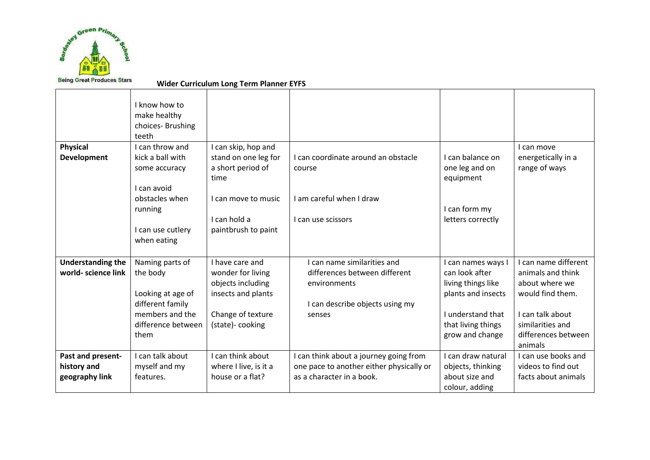

**Wider Curriculum Long Term Planner EYFS**

|                                                    | I know how to<br>make healthy<br>choices-Brushing<br>teeth                                                            |                                                                                                                         |                                                                                                                           |                                                                                                                                                |                                                                                                                                                           |
|----------------------------------------------------|-----------------------------------------------------------------------------------------------------------------------|-------------------------------------------------------------------------------------------------------------------------|---------------------------------------------------------------------------------------------------------------------------|------------------------------------------------------------------------------------------------------------------------------------------------|-----------------------------------------------------------------------------------------------------------------------------------------------------------|
| <b>Physical</b><br><b>Development</b>              | I can throw and<br>kick a ball with<br>some accuracy<br>I can avoid<br>obstacles when<br>running                      | I can skip, hop and<br>stand on one leg for<br>a short period of<br>time<br>I can move to music                         | I can coordinate around an obstacle<br>course<br>I am careful when I draw                                                 | I can balance on<br>one leg and on<br>equipment<br>I can form my                                                                               | I can move<br>energetically in a<br>range of ways                                                                                                         |
|                                                    | I can use cutlery<br>when eating                                                                                      | I can hold a<br>paintbrush to paint                                                                                     | I can use scissors                                                                                                        | letters correctly                                                                                                                              |                                                                                                                                                           |
| <b>Understanding the</b><br>world- science link    | Naming parts of<br>the body<br>Looking at age of<br>different family<br>members and the<br>difference between<br>them | I have care and<br>wonder for living<br>objects including<br>insects and plants<br>Change of texture<br>(state)-cooking | I can name similarities and<br>differences between different<br>environments<br>I can describe objects using my<br>senses | I can names ways I<br>can look after<br>living things like<br>plants and insects<br>I understand that<br>that living things<br>grow and change | I can name different<br>animals and think<br>about where we<br>would find them.<br>I can talk about<br>similarities and<br>differences between<br>animals |
| Past and present-<br>history and<br>geography link | I can talk about<br>myself and my<br>features.                                                                        | I can think about<br>where I live, is it a<br>house or a flat?                                                          | I can think about a journey going from<br>one pace to another either physically or<br>as a character in a book.           | I can draw natural<br>objects, thinking<br>about size and<br>colour, adding                                                                    | I can use books and<br>videos to find out<br>facts about animals                                                                                          |